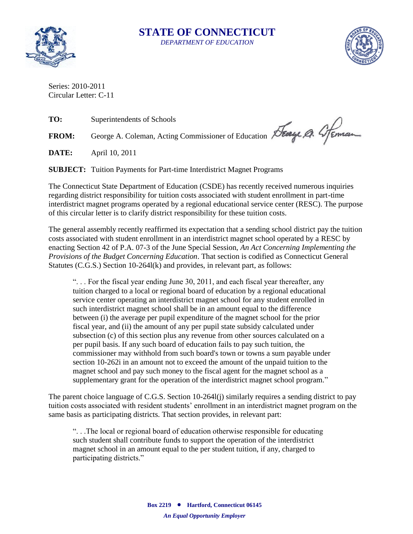

## **STATE OF CONNECTICUT** *DEPARTMENT OF EDUCATION*



Series: 2010-2011 Circular Letter: C-11

**TO:** Superintendents of Schools

FROM: George A. Coleman, Acting Commissioner of Education Steamen A. 4 Feman

**DATE:** April 10, 2011

**SUBJECT:** Tuition Payments for Part-time Interdistrict Magnet Programs

The Connecticut State Department of Education (CSDE) has recently received numerous inquiries regarding district responsibility for tuition costs associated with student enrollment in part-time interdistrict magnet programs operated by a regional educational service center (RESC). The purpose of this circular letter is to clarify district responsibility for these tuition costs.

The general assembly recently reaffirmed its expectation that a sending school district pay the tuition costs associated with student enrollment in an interdistrict magnet school operated by a RESC by enacting Section 42 of P.A. 07-3 of the June Special Session, *An Act Concerning Implementing the Provisions of the Budget Concerning Education*. That section is codified as Connecticut General Statutes (C.G.S.) Section 10-264l(k) and provides, in relevant part, as follows:

". . . For the fiscal year ending June 30, 2011, and each fiscal year thereafter, any tuition charged to a local or regional board of education by a regional educational service center operating an interdistrict magnet school for any student enrolled in such interdistrict magnet school shall be in an amount equal to the difference between (i) the average per pupil expenditure of the magnet school for the prior fiscal year, and (ii) the amount of any per pupil state subsidy calculated under subsection (c) of this section plus any revenue from other sources calculated on a per pupil basis. If any such board of education fails to pay such tuition, the commissioner may withhold from such board's town or towns a sum payable under section 10-262i in an amount not to exceed the amount of the unpaid tuition to the magnet school and pay such money to the fiscal agent for the magnet school as a supplementary grant for the operation of the interdistrict magnet school program."

The parent choice language of C.G.S. Section 10-264l(j) similarly requires a sending district to pay tuition costs associated with resident students' enrollment in an interdistrict magnet program on the same basis as participating districts. That section provides, in relevant part:

". . .The local or regional board of education otherwise responsible for educating such student shall contribute funds to support the operation of the interdistrict magnet school in an amount equal to the per student tuition, if any, charged to participating districts."